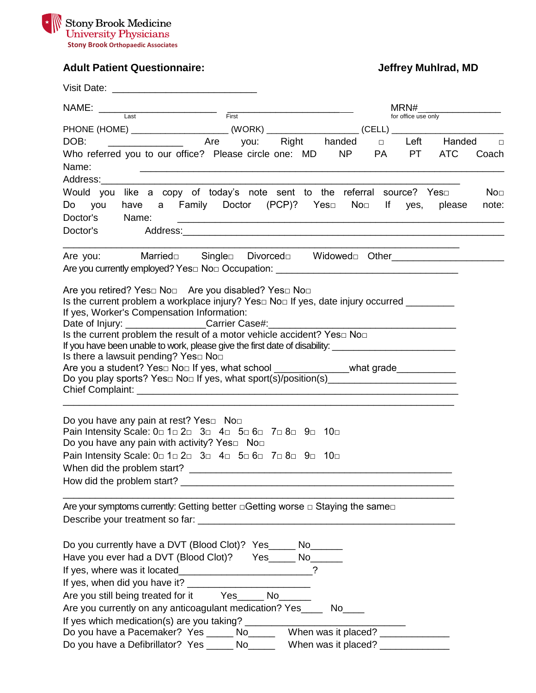

# **Adult Patient Questionnaire: Jeffrey Muhlrad, MD**

| NAME:                                                                                                                                                                                                                                                                                                                                                                                                                                                                                                                                                                                                                                                                                                                                             | $\overline{\phantom{a}}$ $\overline{\phantom{a}}$ $\overline{\phantom{a}}$ $\overline{\phantom{a}}$ $\overline{\phantom{a}}$ $\overline{\phantom{a}}$ $\overline{\phantom{a}}$ $\overline{\phantom{a}}$ $\overline{\phantom{a}}$ $\overline{\phantom{a}}$ $\overline{\phantom{a}}$ $\overline{\phantom{a}}$ $\overline{\phantom{a}}$ $\overline{\phantom{a}}$ $\overline{\phantom{a}}$ $\overline{\phantom{a}}$ $\overline{\phantom{a}}$ $\overline{\phantom{a}}$ $\overline{\$ |              | MRN#                   |                        |  |
|---------------------------------------------------------------------------------------------------------------------------------------------------------------------------------------------------------------------------------------------------------------------------------------------------------------------------------------------------------------------------------------------------------------------------------------------------------------------------------------------------------------------------------------------------------------------------------------------------------------------------------------------------------------------------------------------------------------------------------------------------|---------------------------------------------------------------------------------------------------------------------------------------------------------------------------------------------------------------------------------------------------------------------------------------------------------------------------------------------------------------------------------------------------------------------------------------------------------------------------------|--------------|------------------------|------------------------|--|
| Last                                                                                                                                                                                                                                                                                                                                                                                                                                                                                                                                                                                                                                                                                                                                              |                                                                                                                                                                                                                                                                                                                                                                                                                                                                                 |              | for office use only    |                        |  |
|                                                                                                                                                                                                                                                                                                                                                                                                                                                                                                                                                                                                                                                                                                                                                   |                                                                                                                                                                                                                                                                                                                                                                                                                                                                                 |              |                        |                        |  |
| DOB:                                                                                                                                                                                                                                                                                                                                                                                                                                                                                                                                                                                                                                                                                                                                              | you:                                                                                                                                                                                                                                                                                                                                                                                                                                                                            | Right handed | $\Box$                 | Left Handed<br>$\Box$  |  |
| Who referred you to our office? Please circle one: MD NP<br>Name:                                                                                                                                                                                                                                                                                                                                                                                                                                                                                                                                                                                                                                                                                 | <u> 2002 - Johann Johann Stone, mars and de final and de final and definition of the store of the store of the store of the store of the store of the store of the store of the store of the store of the store of the store of </u>                                                                                                                                                                                                                                            |              | <b>PT</b><br><b>PA</b> | <b>ATC</b><br>Coach    |  |
| Would you like a copy of today's note sent to the referral source? Yes<br>Do you<br>Doctor's<br>Name:<br>Doctor's                                                                                                                                                                                                                                                                                                                                                                                                                                                                                                                                                                                                                                 | have a Family Doctor (PCP)? Yes□                                                                                                                                                                                                                                                                                                                                                                                                                                                |              | $No□$ If yes,          | No⊡<br>note:<br>please |  |
| Are you:<br>Are you currently employed? Yes□ No□ Occupation: ________________________________                                                                                                                                                                                                                                                                                                                                                                                                                                                                                                                                                                                                                                                     | Married Single Divorced Widowed Other                                                                                                                                                                                                                                                                                                                                                                                                                                           |              |                        |                        |  |
| Are you retired? Yes□ No□ Are you disabled? Yes□ No□<br>Is the current problem a workplace injury? Yes $\square$ No $\square$ If yes, date injury occurred __________<br>If yes, Worker's Compensation Information:<br>Date of Injury: __________________Carrier Case#:________________________________<br>Is the current problem the result of a motor vehicle accident? Yes $\square$ No $\square$<br>If you have been unable to work, please give the first date of disability: __________________________________<br>Is there a lawsuit pending? Yes□ No□<br>Are you a student? Yes□ No□ If yes, what school _______________what grade____________<br>Do you play sports? Yes□ No□ If yes, what sport(s)/position(s)_________________________ |                                                                                                                                                                                                                                                                                                                                                                                                                                                                                 |              |                        |                        |  |
| Do you have any pain at rest? Yes□ No□<br>Pain Intensity Scale: 0 1 2 2 3 4 5 6 6 7 8 9 9 10<br>Do you have any pain with activity? Yes□ No□<br>Pain Intensity Scale: 0 1 2 2 3 4 5 6 6 7 8 9 9 10                                                                                                                                                                                                                                                                                                                                                                                                                                                                                                                                                |                                                                                                                                                                                                                                                                                                                                                                                                                                                                                 |              |                        |                        |  |
| Are your symptoms currently: Getting better $\Box$ Getting worse $\Box$ Staying the same $\Box$                                                                                                                                                                                                                                                                                                                                                                                                                                                                                                                                                                                                                                                   |                                                                                                                                                                                                                                                                                                                                                                                                                                                                                 |              |                        |                        |  |
| Do you currently have a DVT (Blood Clot)? Yes ______ No_______<br>Have you ever had a DVT (Blood Clot)? Yes_____ No______<br>If yes, where was it located___________________________?<br>Are you still being treated for it Yes_____ No______<br>Are you currently on any anticoagulant medication? Yes______ No_____                                                                                                                                                                                                                                                                                                                                                                                                                             |                                                                                                                                                                                                                                                                                                                                                                                                                                                                                 |              |                        |                        |  |
| Do you have a Pacemaker? Yes _______ No__________ When was it placed?<br>Do you have a Defibrillator? Yes ______ No_______ When was it placed? __________                                                                                                                                                                                                                                                                                                                                                                                                                                                                                                                                                                                         |                                                                                                                                                                                                                                                                                                                                                                                                                                                                                 |              |                        |                        |  |